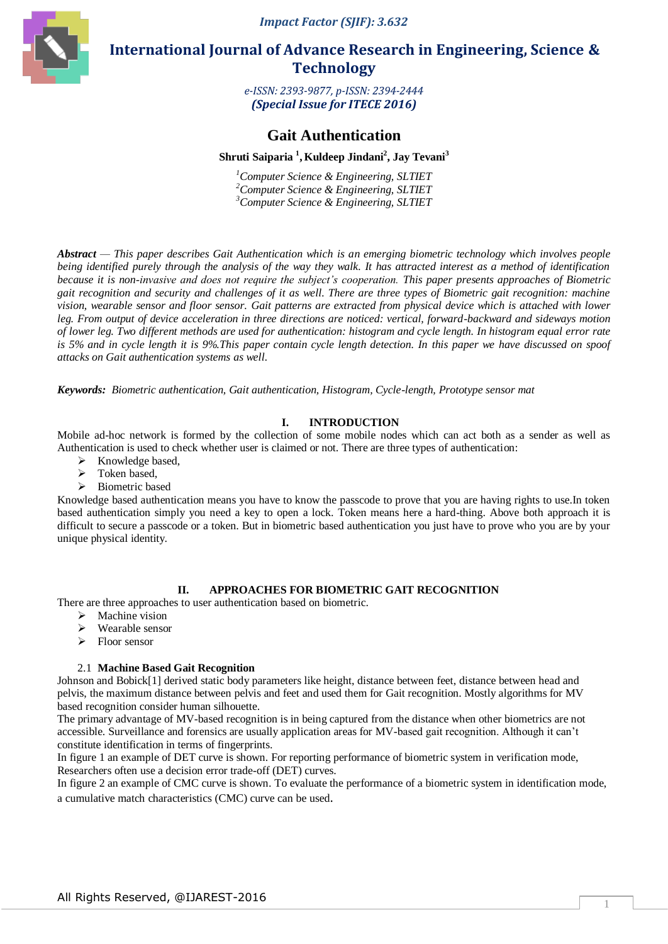*Impact Factor (SJIF): 3.632*



 **International Journal of Advance Research in Engineering, Science & Technology** 

> *e-ISSN: 2393-9877, p-ISSN: 2394-2444 (Special Issue for ITECE 2016)*

# **Gait Authentication**

# $\boldsymbol{\mathrm{Shruti}}$  Saiparia  $^{1}$ , Kuldeep Jindani $^{2}$ , Jay Tevani $^{3}$

*<sup>1</sup>Computer Science & Engineering, SLTIET <sup>2</sup>Computer Science & Engineering, SLTIET <sup>3</sup>Computer Science & Engineering, SLTIET*

*Abstract — This paper describes Gait Authentication which is an emerging biometric technology which involves people being identified purely through the analysis of the way they walk. It has attracted interest as a method of identification because it is non-invasive and does not require the subject's cooperation. This paper presents approaches of Biometric gait recognition and security and challenges of it as well. There are three types of Biometric gait recognition: machine vision, wearable sensor and floor sensor. Gait patterns are extracted from physical device which is attached with lower leg. From output of device acceleration in three directions are noticed: vertical, forward-backward and sideways motion of lower leg. Two different methods are used for authentication: histogram and cycle length. In histogram equal error rate is 5% and in cycle length it is 9%.This paper contain cycle length detection. In this paper we have discussed on spoof attacks on Gait authentication systems as well.*

*Keywords: Biometric authentication, Gait authentication, Histogram, Cycle-length, Prototype sensor mat*

## **I. INTRODUCTION**

Mobile ad-hoc network is formed by the collection of some mobile nodes which can act both as a sender as well as Authentication is used to check whether user is claimed or not. There are three types of authentication:

- $\triangleright$  Knowledge based,
- Token based,
- > Biometric based

Knowledge based authentication means you have to know the passcode to prove that you are having rights to use.In token based authentication simply you need a key to open a lock. Token means here a hard-thing. Above both approach it is difficult to secure a passcode or a token. But in biometric based authentication you just have to prove who you are by your unique physical identity.

## **II. APPROACHES FOR BIOMETRIC GAIT RECOGNITION**

There are three approaches to user authentication based on biometric.

- $\triangleright$  Machine vision
- Wearable sensor
- > Floor sensor

## 2.1 **Machine Based Gait Recognition**

Johnson and Bobick[1] derived static body parameters like height, distance between feet, distance between head and pelvis, the maximum distance between pelvis and feet and used them for Gait recognition. Mostly algorithms for MV based recognition consider human silhouette.

The primary advantage of MV-based recognition is in being captured from the distance when other biometrics are not accessible. Surveillance and forensics are usually application areas for MV-based gait recognition. Although it can't constitute identification in terms of fingerprints.

In figure 1 an example of DET curve is shown. For reporting performance of biometric system in verification mode, Researchers often use a decision error trade-off (DET) curves.

In figure 2 an example of CMC curve is shown. To evaluate the performance of a biometric system in identification mode, a cumulative match characteristics (CMC) curve can be used.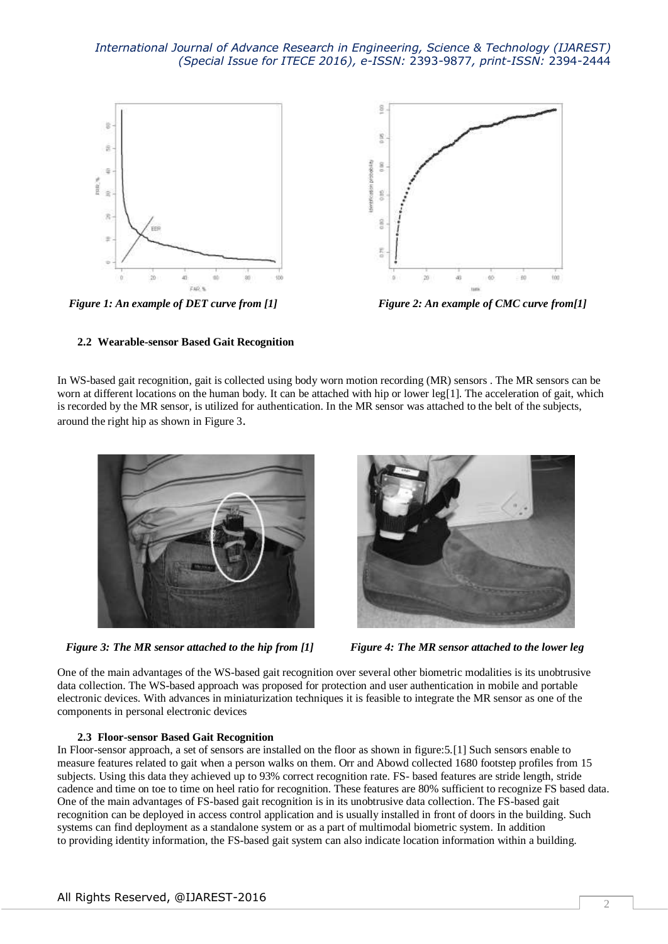

*Figure 1: An example of DET curve from [1]**Figure 2: An example of CMC curve from[1]*

## **2.2 Wearable-sensor Based Gait Recognition**

In WS-based gait recognition, gait is collected using body worn motion recording (MR) sensors . The MR sensors can be worn at different locations on the human body. It can be attached with hip or lower leg[1]. The acceleration of gait, which is recorded by the MR sensor, is utilized for authentication. In the MR sensor was attached to the belt of the subjects, around the right hip as shown in Figure 3.



*Figure 3: The MR sensor attached to the hip from [1] Figure 4: The MR sensor attached to the lower leg*



One of the main advantages of the WS-based gait recognition over several other biometric modalities is its unobtrusive data collection. The WS-based approach was proposed for protection and user authentication in mobile and portable electronic devices. With advances in miniaturization techniques it is feasible to integrate the MR sensor as one of the components in personal electronic devices

#### **2.3 Floor-sensor Based Gait Recognition**

In Floor-sensor approach, a set of sensors are installed on the floor as shown in figure:5.[1] Such sensors enable to measure features related to gait when a person walks on them. Orr and Abowd collected 1680 footstep profiles from 15 subjects. Using this data they achieved up to 93% correct recognition rate. FS- based features are stride length, stride cadence and time on toe to time on heel ratio for recognition. These features are 80% sufficient to recognize FS based data. One of the main advantages of FS-based gait recognition is in its unobtrusive data collection. The FS-based gait recognition can be deployed in access control application and is usually installed in front of doors in the building. Such systems can find deployment as a standalone system or as a part of multimodal biometric system. In addition to providing identity information, the FS-based gait system can also indicate location information within a building.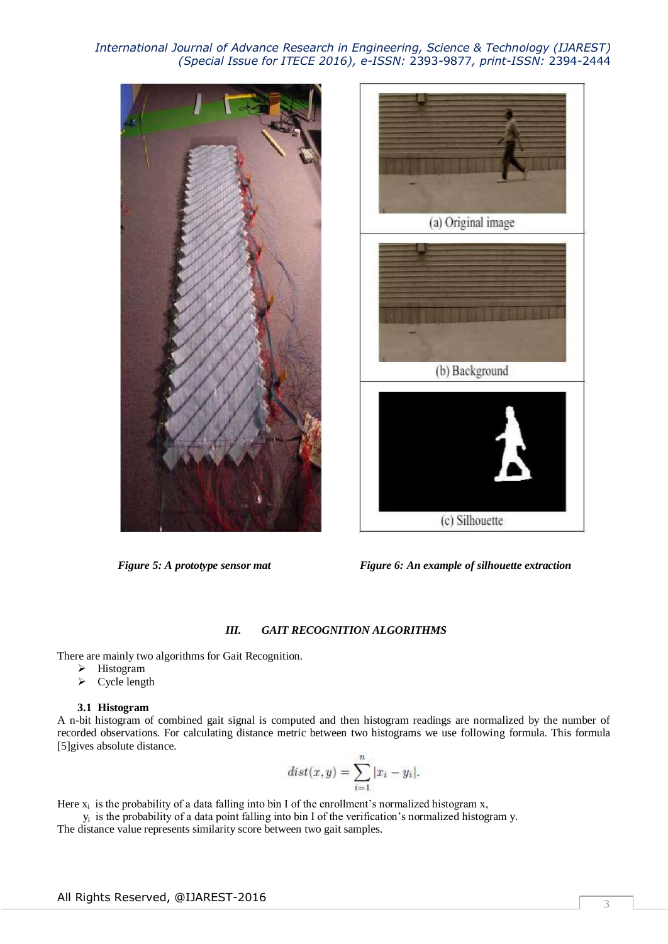



*Figure 5: A prototype sensor mat Figure 6: An example of silhouette extraction*

## *III. GAIT RECOGNITION ALGORITHMS*

There are mainly two algorithms for Gait Recognition.

- > Histogram
- $\triangleright$  Cycle length

## **3.1 Histogram**

A n-bit histogram of combined gait signal is computed and then histogram readings are normalized by the number of recorded observations. For calculating distance metric between two histograms we use following formula. This formula [5]gives absolute distance.

$$
dist(x, y) = \sum_{i=1}^{n} |x_i - y_i|.
$$

Here  $x_i$  is the probability of a data falling into bin I of the enrollment's normalized histogram x,

 $y_i$  is the probability of a data point falling into bin I of the verification's normalized histogram y.

The distance value represents similarity score between two gait samples.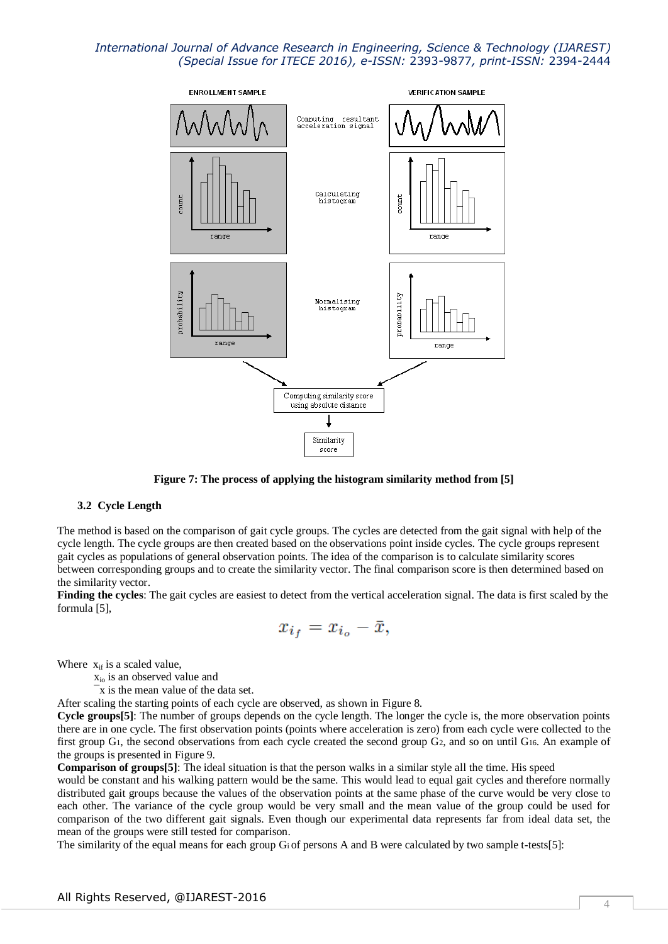

**Figure 7: The process of applying the histogram similarity method from [5]**

#### **3.2 Cycle Length**

The method is based on the comparison of gait cycle groups. The cycles are detected from the gait signal with help of the cycle length. The cycle groups are then created based on the observations point inside cycles. The cycle groups represent gait cycles as populations of general observation points. The idea of the comparison is to calculate similarity scores between corresponding groups and to create the similarity vector. The final comparison score is then determined based on the similarity vector.

**Finding the cycles**: The gait cycles are easiest to detect from the vertical acceleration signal. The data is first scaled by the formula [5],

$$
x_{i_f}=x_{i_o}-\bar{x},
$$

Where  $x_{if}$  is a scaled value,

- xio is an observed value and
- ¯x is the mean value of the data set.

After scaling the starting points of each cycle are observed, as shown in Figure 8.

**Cycle groups[5]**: The number of groups depends on the cycle length. The longer the cycle is, the more observation points there are in one cycle. The first observation points (points where acceleration is zero) from each cycle were collected to the first group G1, the second observations from each cycle created the second group G2, and so on until G16. An example of the groups is presented in Figure 9.

**Comparison of groups**[5]: The ideal situation is that the person walks in a similar style all the time. His speed

would be constant and his walking pattern would be the same. This would lead to equal gait cycles and therefore normally distributed gait groups because the values of the observation points at the same phase of the curve would be very close to each other. The variance of the cycle group would be very small and the mean value of the group could be used for comparison of the two different gait signals. Even though our experimental data represents far from ideal data set, the mean of the groups were still tested for comparison.

The similarity of the equal means for each group Gi of persons A and B were calculated by two sample t-tests[5]: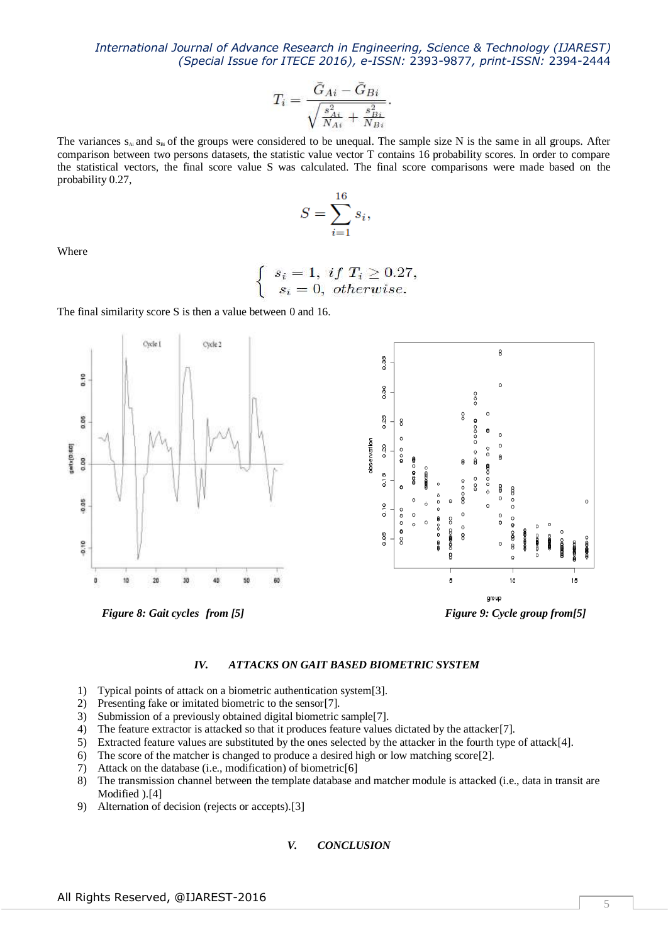$$
T_i=\frac{\bar{G}_{Ai}-\bar{G}_{Bi}}{\sqrt{\frac{s_{Ai}^2}{N_{Ai}}+\frac{s_{Bi}^2}{N_{Bi}}}}.
$$

The variances  $s_{Ai}$  and  $s_{Bi}$  of the groups were considered to be unequal. The sample size N is the same in all groups. After comparison between two persons datasets, the statistic value vector T contains 16 probability scores. In order to compare the statistical vectors, the final score value S was calculated. The final score comparisons were made based on the probability 0.27,

$$
S = \sum_{i=1}^{16} s_i,
$$

Where

$$
\begin{cases}\ns_i = 1, \ if \ T_i \ge 0.27, \\
s_i = 0, \ otherwise.\n\end{cases}
$$

The final similarity score S is then a value between 0 and 16.



*IV. ATTACKS ON GAIT BASED BIOMETRIC SYSTEM*

- 1) Typical points of attack on a biometric authentication system[3].
- 2) Presenting fake or imitated biometric to the sensor[7].
- 3) Submission of a previously obtained digital biometric sample[7].
- 4) The feature extractor is attacked so that it produces feature values dictated by the attacker[7].
- 5) Extracted feature values are substituted by the ones selected by the attacker in the fourth type of attack[4].
- 6) The score of the matcher is changed to produce a desired high or low matching score[2].
- 7) Attack on the database (i.e., modification) of biometric[6]
- 8) The transmission channel between the template database and matcher module is attacked (i.e., data in transit are Modified ).[4]
- 9) Alternation of decision (rejects or accepts).[3]

#### *V. CONCLUSION*